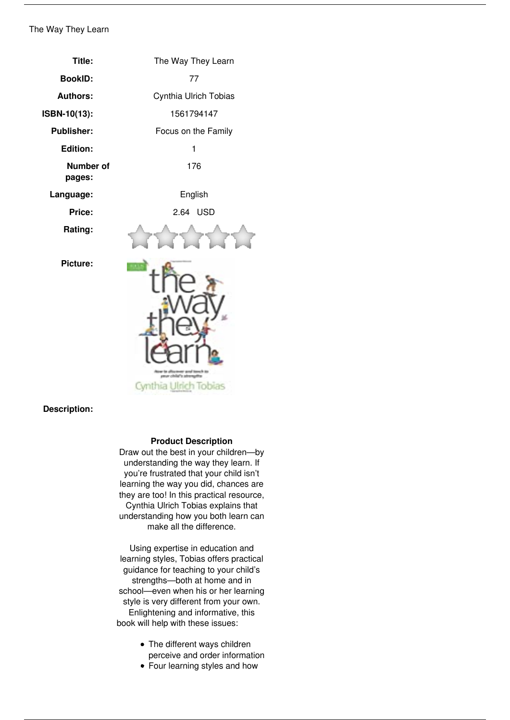## *The Way They Learn*

| Title:                     | The Way They Learn                                                    |
|----------------------------|-----------------------------------------------------------------------|
| <b>BookID:</b>             | 77                                                                    |
| <b>Authors:</b>            | Cynthia Ulrich Tobias                                                 |
| ISBN-10(13):               | 1561794147                                                            |
| <b>Publisher:</b>          | Focus on the Family                                                   |
| <b>Edition:</b>            | 1                                                                     |
| <b>Number of</b><br>pages: | 176                                                                   |
| Language:                  | English                                                               |
| Price:                     | 2.64 USD                                                              |
| Rating:                    |                                                                       |
| <b>Picture:</b>            | <b>Kill</b><br>r to allocamen<br>nch su<br>amor child's sta<br>YELES. |

**Description:** 

## **Product Description**

*Draw out the best in your children—by understanding the way they learn. If you're frustrated that your child isn't learning the way you did, chances are they are too! In this practical resource, Cynthia Ulrich Tobias explains that understanding how you both learn can make all the difference.*

*Using expertise in education and learning styles, Tobias offers practical guidance for teaching to your child's strengths—both at home and in school—even when his or her learning style is very different from your own. Enlightening and informative, this book will help with these issues:*

- *The different ways children perceive and order information*
- *Four learning styles and how*